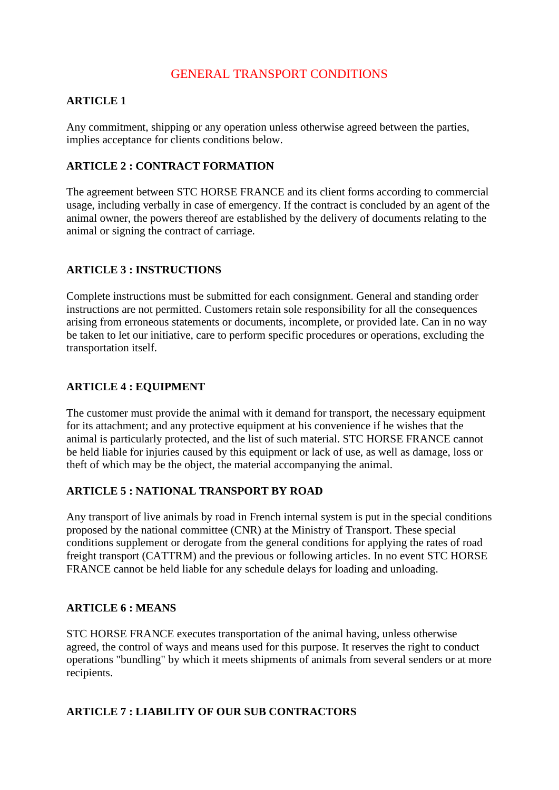# GENERAL TRANSPORT CONDITIONS

### **ARTICLE 1**

Any commitment, shipping or any operation unless otherwise agreed between the parties, implies acceptance for clients conditions below.

### **ARTICLE 2 : CONTRACT FORMATION**

The agreement between STC HORSE FRANCE and its client forms according to commercial usage, including verbally in case of emergency. If the contract is concluded by an agent of the animal owner, the powers thereof are established by the delivery of documents relating to the animal or signing the contract of carriage.

### **ARTICLE 3 : INSTRUCTIONS**

Complete instructions must be submitted for each consignment. General and standing order instructions are not permitted. Customers retain sole responsibility for all the consequences arising from erroneous statements or documents, incomplete, or provided late. Can in no way be taken to let our initiative, care to perform specific procedures or operations, excluding the transportation itself.

### **ARTICLE 4 : EQUIPMENT**

The customer must provide the animal with it demand for transport, the necessary equipment for its attachment; and any protective equipment at his convenience if he wishes that the animal is particularly protected, and the list of such material. STC HORSE FRANCE cannot be held liable for injuries caused by this equipment or lack of use, as well as damage, loss or theft of which may be the object, the material accompanying the animal.

### **ARTICLE 5 : NATIONAL TRANSPORT BY ROAD**

Any transport of live animals by road in French internal system is put in the special conditions proposed by the national committee (CNR) at the Ministry of Transport. These special conditions supplement or derogate from the general conditions for applying the rates of road freight transport (CATTRM) and the previous or following articles. In no event STC HORSE FRANCE cannot be held liable for any schedule delays for loading and unloading.

#### **ARTICLE 6 : MEANS**

STC HORSE FRANCE executes transportation of the animal having, unless otherwise agreed, the control of ways and means used for this purpose. It reserves the right to conduct operations "bundling" by which it meets shipments of animals from several senders or at more recipients.

#### **ARTICLE 7 : LIABILITY OF OUR SUB CONTRACTORS**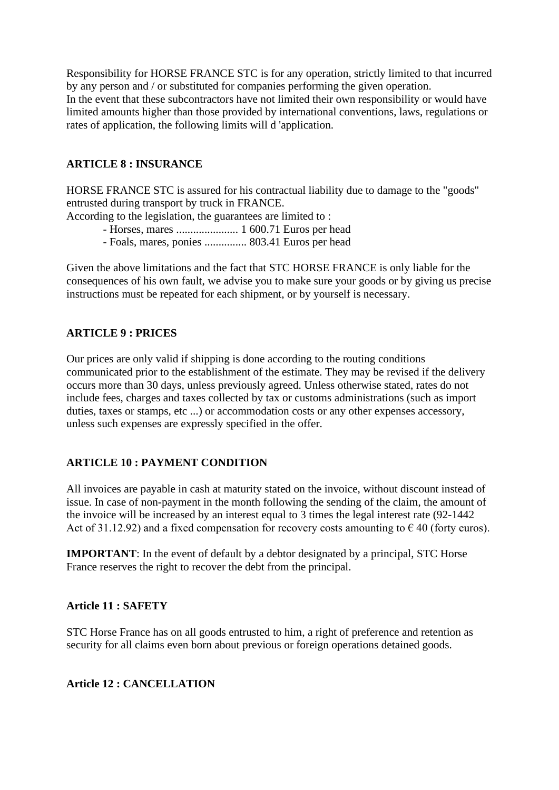Responsibility for HORSE FRANCE STC is for any operation, strictly limited to that incurred by any person and / or substituted for companies performing the given operation. In the event that these subcontractors have not limited their own responsibility or would have limited amounts higher than those provided by international conventions, laws, regulations or rates of application, the following limits will d 'application.

### **ARTICLE 8 : INSURANCE**

HORSE FRANCE STC is assured for his contractual liability due to damage to the "goods" entrusted during transport by truck in FRANCE.

According to the legislation, the guarantees are limited to :

- Horses, mares ...................... 1 600.71 Euros per head
- Foals, mares, ponies ............... 803.41 Euros per head

Given the above limitations and the fact that STC HORSE FRANCE is only liable for the consequences of his own fault, we advise you to make sure your goods or by giving us precise instructions must be repeated for each shipment, or by yourself is necessary.

## **ARTICLE 9 : PRICES**

Our prices are only valid if shipping is done according to the routing conditions communicated prior to the establishment of the estimate. They may be revised if the delivery occurs more than 30 days, unless previously agreed. Unless otherwise stated, rates do not include fees, charges and taxes collected by tax or customs administrations (such as import duties, taxes or stamps, etc ...) or accommodation costs or any other expenses accessory, unless such expenses are expressly specified in the offer.

### **ARTICLE 10 : PAYMENT CONDITION**

All invoices are payable in cash at maturity stated on the invoice, without discount instead of issue. In case of non-payment in the month following the sending of the claim, the amount of the invoice will be increased by an interest equal to 3 times the legal interest rate (92-1442 Act of 31.12.92) and a fixed compensation for recovery costs amounting to  $\epsilon$  40 (forty euros).

**IMPORTANT:** In the event of default by a debtor designated by a principal, STC Horse France reserves the right to recover the debt from the principal.

### **Article 11 : SAFETY**

STC Horse France has on all goods entrusted to him, a right of preference and retention as security for all claims even born about previous or foreign operations detained goods.

## **Article 12 : CANCELLATION**